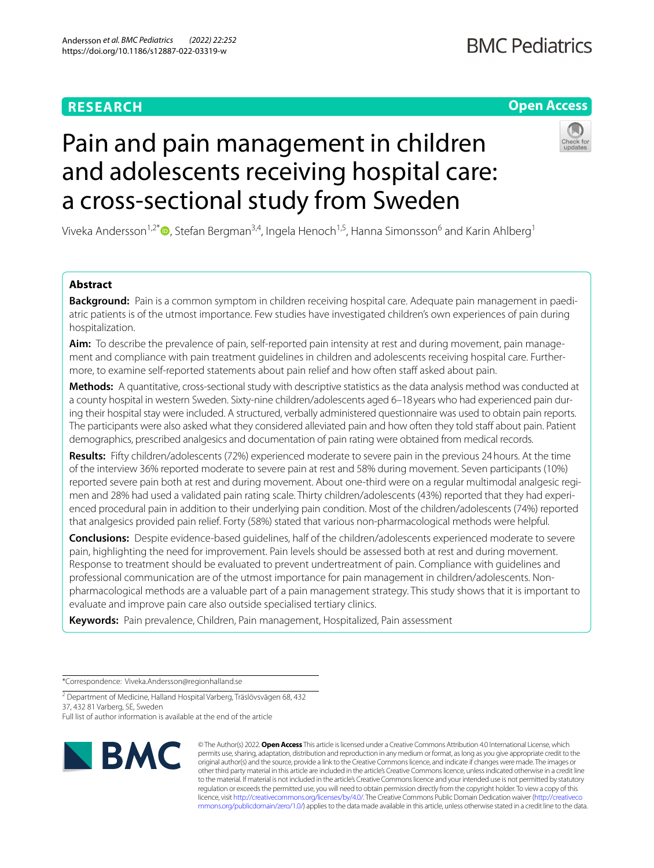## **RESEARCH**

## **Open Access**

# Pain and pain management in children and adolescents receiving hospital care: a cross-sectional study from Sweden

Viveka Andersson<sup>1,2[\\*](https://orcid.org/0000-0003-0435-2671)</sup>  $\bullet$ , Stefan Bergman<sup>3,4</sup>, Ingela Henoch<sup>1,5</sup>, Hanna Simonsson<sup>6</sup> and Karin Ahlberg<sup>1</sup>

## **Abstract**

**Background:** Pain is a common symptom in children receiving hospital care. Adequate pain management in paediatric patients is of the utmost importance. Few studies have investigated children's own experiences of pain during hospitalization.

**Aim:** To describe the prevalence of pain, self-reported pain intensity at rest and during movement, pain management and compliance with pain treatment guidelines in children and adolescents receiving hospital care. Furthermore, to examine self-reported statements about pain relief and how often staff asked about pain.

**Methods:** A quantitative, cross-sectional study with descriptive statistics as the data analysis method was conducted at a county hospital in western Sweden. Sixty-nine children/adolescents aged 6–18years who had experienced pain during their hospital stay were included. A structured, verbally administered questionnaire was used to obtain pain reports. The participants were also asked what they considered alleviated pain and how often they told staff about pain. Patient demographics, prescribed analgesics and documentation of pain rating were obtained from medical records.

**Results:** Fifty children/adolescents (72%) experienced moderate to severe pain in the previous 24hours. At the time of the interview 36% reported moderate to severe pain at rest and 58% during movement. Seven participants (10%) reported severe pain both at rest and during movement. About one-third were on a regular multimodal analgesic regimen and 28% had used a validated pain rating scale. Thirty children/adolescents (43%) reported that they had experienced procedural pain in addition to their underlying pain condition. Most of the children/adolescents (74%) reported that analgesics provided pain relief. Forty (58%) stated that various non-pharmacological methods were helpful.

**Conclusions:** Despite evidence-based guidelines, half of the children/adolescents experienced moderate to severe pain, highlighting the need for improvement. Pain levels should be assessed both at rest and during movement. Response to treatment should be evaluated to prevent undertreatment of pain. Compliance with guidelines and professional communication are of the utmost importance for pain management in children/adolescents. Nonpharmacological methods are a valuable part of a pain management strategy. This study shows that it is important to evaluate and improve pain care also outside specialised tertiary clinics.

**Keywords:** Pain prevalence, Children, Pain management, Hospitalized, Pain assessment

\*Correspondence: Viveka.Andersson@regionhalland.se

<sup>2</sup> Department of Medicine, Halland Hospital Varberg, Träslövsvägen 68, 432 37, 432 81 Varberg, SE, Sweden

Full list of author information is available at the end of the article



© The Author(s) 2022. **Open Access** This article is licensed under a Creative Commons Attribution 4.0 International License, which permits use, sharing, adaptation, distribution and reproduction in any medium or format, as long as you give appropriate credit to the original author(s) and the source, provide a link to the Creative Commons licence, and indicate if changes were made. The images or other third party material in this article are included in the article's Creative Commons licence, unless indicated otherwise in a credit line to the material. If material is not included in the article's Creative Commons licence and your intended use is not permitted by statutory regulation or exceeds the permitted use, you will need to obtain permission directly from the copyright holder. To view a copy of this licence, visit [http://creativecommons.org/licenses/by/4.0/.](http://creativecommons.org/licenses/by/4.0/) The Creative Commons Public Domain Dedication waiver ([http://creativeco](http://creativecommons.org/publicdomain/zero/1.0/) [mmons.org/publicdomain/zero/1.0/](http://creativecommons.org/publicdomain/zero/1.0/)) applies to the data made available in this article, unless otherwise stated in a credit line to the data.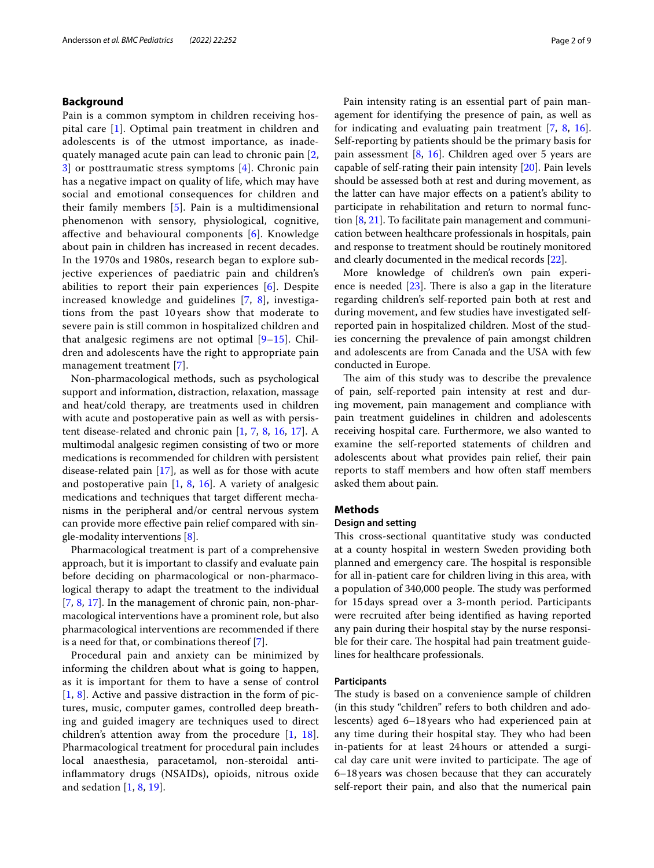## **Background**

Pain is a common symptom in children receiving hospital care [[1\]](#page-7-0). Optimal pain treatment in children and adolescents is of the utmost importance, as inadequately managed acute pain can lead to chronic pain [\[2](#page-7-1), [3\]](#page-7-2) or posttraumatic stress symptoms [\[4](#page-7-3)]. Chronic pain has a negative impact on quality of life, which may have social and emotional consequences for children and their family members [\[5\]](#page-7-4). Pain is a multidimensional phenomenon with sensory, physiological, cognitive, afective and behavioural components [[6\]](#page-7-5). Knowledge about pain in children has increased in recent decades. In the 1970s and 1980s, research began to explore subjective experiences of paediatric pain and children's abilities to report their pain experiences [\[6](#page-7-5)]. Despite increased knowledge and guidelines [\[7](#page-7-6), [8](#page-7-7)], investigations from the past 10 years show that moderate to severe pain is still common in hospitalized children and that analgesic regimens are not optimal [[9](#page-7-8)[–15](#page-7-9)]. Children and adolescents have the right to appropriate pain management treatment [[7](#page-7-6)].

Non-pharmacological methods, such as psychological support and information, distraction, relaxation, massage and heat/cold therapy, are treatments used in children with acute and postoperative pain as well as with persistent disease-related and chronic pain [\[1,](#page-7-0) [7](#page-7-6), [8,](#page-7-7) [16](#page-7-10), [17\]](#page-7-11). A multimodal analgesic regimen consisting of two or more medications is recommended for children with persistent disease-related pain [\[17](#page-7-11)], as well as for those with acute and postoperative pain [\[1](#page-7-0), [8](#page-7-7), [16\]](#page-7-10). A variety of analgesic medications and techniques that target diferent mechanisms in the peripheral and/or central nervous system can provide more efective pain relief compared with single-modality interventions [\[8](#page-7-7)].

Pharmacological treatment is part of a comprehensive approach, but it is important to classify and evaluate pain before deciding on pharmacological or non-pharmacological therapy to adapt the treatment to the individual [[7,](#page-7-6) [8,](#page-7-7) [17\]](#page-7-11). In the management of chronic pain, non-pharmacological interventions have a prominent role, but also pharmacological interventions are recommended if there is a need for that, or combinations thereof [[7](#page-7-6)].

Procedural pain and anxiety can be minimized by informing the children about what is going to happen, as it is important for them to have a sense of control [[1](#page-7-0), [8](#page-7-7)]. Active and passive distraction in the form of pictures, music, computer games, controlled deep breathing and guided imagery are techniques used to direct children's attention away from the procedure [[1,](#page-7-0) [18](#page-7-12)]. Pharmacological treatment for procedural pain includes local anaesthesia, paracetamol, non-steroidal antiinfammatory drugs (NSAIDs), opioids, nitrous oxide and sedation [[1,](#page-7-0) [8](#page-7-7), [19](#page-7-13)].

Pain intensity rating is an essential part of pain management for identifying the presence of pain, as well as for indicating and evaluating pain treatment [[7,](#page-7-6) [8,](#page-7-7) [16](#page-7-10)]. Self-reporting by patients should be the primary basis for pain assessment [[8,](#page-7-7) [16](#page-7-10)]. Children aged over 5 years are capable of self-rating their pain intensity [\[20](#page-7-14)]. Pain levels should be assessed both at rest and during movement, as the latter can have major efects on a patient's ability to participate in rehabilitation and return to normal function [[8](#page-7-7), [21\]](#page-7-15). To facilitate pain management and communication between healthcare professionals in hospitals, pain and response to treatment should be routinely monitored and clearly documented in the medical records [\[22](#page-7-16)].

More knowledge of children's own pain experience is needed  $[23]$  $[23]$ . There is also a gap in the literature regarding children's self-reported pain both at rest and during movement, and few studies have investigated selfreported pain in hospitalized children. Most of the studies concerning the prevalence of pain amongst children and adolescents are from Canada and the USA with few conducted in Europe.

The aim of this study was to describe the prevalence of pain, self-reported pain intensity at rest and during movement, pain management and compliance with pain treatment guidelines in children and adolescents receiving hospital care. Furthermore, we also wanted to examine the self-reported statements of children and adolescents about what provides pain relief, their pain reports to staf members and how often staf members asked them about pain.

## **Methods**

## **Design and setting**

This cross-sectional quantitative study was conducted at a county hospital in western Sweden providing both planned and emergency care. The hospital is responsible for all in-patient care for children living in this area, with a population of 340,000 people. The study was performed for 15days spread over a 3-month period. Participants were recruited after being identifed as having reported any pain during their hospital stay by the nurse responsible for their care. The hospital had pain treatment guidelines for healthcare professionals.

## **Participants**

The study is based on a convenience sample of children (in this study "children" refers to both children and adolescents) aged 6–18years who had experienced pain at any time during their hospital stay. They who had been in-patients for at least 24hours or attended a surgical day care unit were invited to participate. The age of 6–18years was chosen because that they can accurately self-report their pain, and also that the numerical pain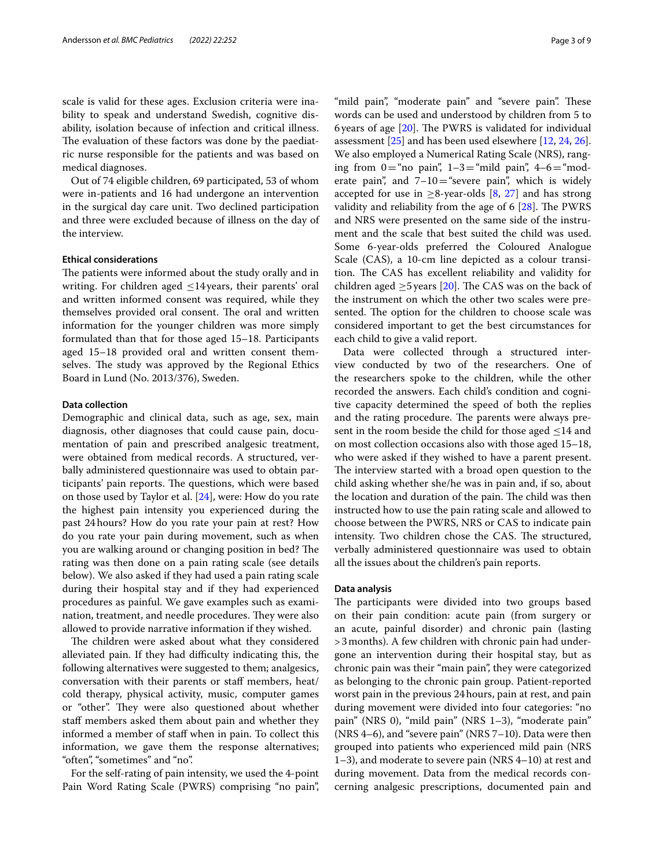scale is valid for these ages. Exclusion criteria were inability to speak and understand Swedish, cognitive disability, isolation because of infection and critical illness. The evaluation of these factors was done by the paediatric nurse responsible for the patients and was based on medical diagnoses.

Out of 74 eligible children, 69 participated, 53 of whom were in-patients and 16 had undergone an intervention in the surgical day care unit. Two declined participation and three were excluded because of illness on the day of the interview.

## **Ethical considerations**

The patients were informed about the study orally and in writing. For children aged  $\leq$ 14 years, their parents' oral and written informed consent was required, while they themselves provided oral consent. The oral and written information for the younger children was more simply formulated than that for those aged 15–18. Participants aged 15–18 provided oral and written consent themselves. The study was approved by the Regional Ethics Board in Lund (No. 2013/376), Sweden.

## **Data collection**

Demographic and clinical data, such as age, sex, main diagnosis, other diagnoses that could cause pain, documentation of pain and prescribed analgesic treatment, were obtained from medical records. A structured, verbally administered questionnaire was used to obtain participants' pain reports. The questions, which were based on those used by Taylor et al. [[24\]](#page-7-18), were: How do you rate the highest pain intensity you experienced during the past 24hours? How do you rate your pain at rest? How do you rate your pain during movement, such as when you are walking around or changing position in bed? The rating was then done on a pain rating scale (see details below). We also asked if they had used a pain rating scale during their hospital stay and if they had experienced procedures as painful. We gave examples such as examination, treatment, and needle procedures. They were also allowed to provide narrative information if they wished.

The children were asked about what they considered alleviated pain. If they had difficulty indicating this, the following alternatives were suggested to them; analgesics, conversation with their parents or staf members, heat/ cold therapy, physical activity, music, computer games or "other". They were also questioned about whether staf members asked them about pain and whether they informed a member of staff when in pain. To collect this information, we gave them the response alternatives; "often", "sometimes" and "no".

For the self-rating of pain intensity, we used the 4-point Pain Word Rating Scale (PWRS) comprising "no pain",

"mild pain", "moderate pain" and "severe pain". These words can be used and understood by children from 5 to 6 years of age  $[20]$ . The PWRS is validated for individual assessment [[25\]](#page-7-19) and has been used elsewhere [\[12](#page-7-20), [24,](#page-7-18) [26](#page-7-21)]. We also employed a Numerical Rating Scale (NRS), ranging from  $0$ ="no pain",  $1-3$ ="mild pain",  $4-6$ ="moderate pain", and  $7-10$  = "severe pain", which is widely accepted for use in  $\geq$ 8-year-olds [[8,](#page-7-7) [27\]](#page-7-22) and has strong validity and reliability from the age of  $6$  [[28\]](#page-8-0). The PWRS and NRS were presented on the same side of the instrument and the scale that best suited the child was used. Some 6-year-olds preferred the Coloured Analogue Scale (CAS), a 10-cm line depicted as a colour transition. The CAS has excellent reliability and validity for children aged  $\geq$ 5 years [[20](#page-7-14)]. The CAS was on the back of the instrument on which the other two scales were presented. The option for the children to choose scale was considered important to get the best circumstances for each child to give a valid report.

Data were collected through a structured interview conducted by two of the researchers. One of the researchers spoke to the children, while the other recorded the answers. Each child's condition and cognitive capacity determined the speed of both the replies and the rating procedure. The parents were always present in the room beside the child for those aged  $\leq$ 14 and on most collection occasions also with those aged 15–18, who were asked if they wished to have a parent present. The interview started with a broad open question to the child asking whether she/he was in pain and, if so, about the location and duration of the pain. The child was then instructed how to use the pain rating scale and allowed to choose between the PWRS, NRS or CAS to indicate pain intensity. Two children chose the CAS. The structured, verbally administered questionnaire was used to obtain all the issues about the children's pain reports.

## **Data analysis**

The participants were divided into two groups based on their pain condition: acute pain (from surgery or an acute, painful disorder) and chronic pain (lasting >3months). A few children with chronic pain had undergone an intervention during their hospital stay, but as chronic pain was their "main pain", they were categorized as belonging to the chronic pain group. Patient-reported worst pain in the previous 24hours, pain at rest, and pain during movement were divided into four categories: "no pain" (NRS 0), "mild pain" (NRS 1–3), "moderate pain" (NRS 4–6), and "severe pain" (NRS 7–10). Data were then grouped into patients who experienced mild pain (NRS 1–3), and moderate to severe pain (NRS 4–10) at rest and during movement. Data from the medical records concerning analgesic prescriptions, documented pain and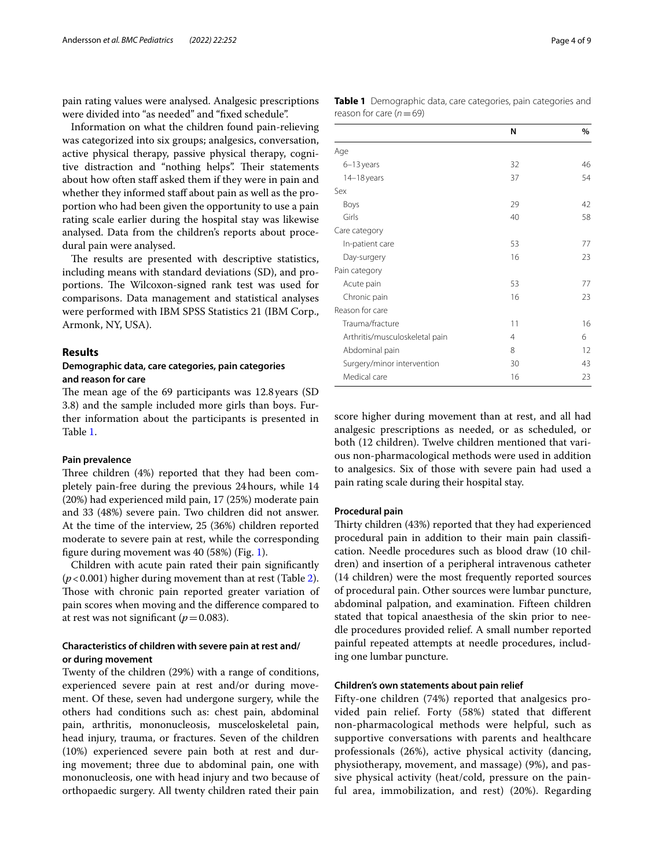pain rating values were analysed. Analgesic prescriptions were divided into "as needed" and "fxed schedule".

Information on what the children found pain-relieving was categorized into six groups; analgesics, conversation, active physical therapy, passive physical therapy, cognitive distraction and "nothing helps". Their statements about how often staff asked them if they were in pain and whether they informed staff about pain as well as the proportion who had been given the opportunity to use a pain rating scale earlier during the hospital stay was likewise analysed. Data from the children's reports about procedural pain were analysed.

The results are presented with descriptive statistics, including means with standard deviations (SD), and proportions. The Wilcoxon-signed rank test was used for comparisons. Data management and statistical analyses were performed with IBM SPSS Statistics 21 (IBM Corp., Armonk, NY, USA).

## **Results**

## **Demographic data, care categories, pain categories and reason for care**

The mean age of the 69 participants was 12.8 years (SD 3.8) and the sample included more girls than boys. Further information about the participants is presented in Table [1](#page-3-0).

## **Pain prevalence**

Three children (4%) reported that they had been completely pain-free during the previous 24hours, while 14 (20%) had experienced mild pain, 17 (25%) moderate pain and 33 (48%) severe pain. Two children did not answer. At the time of the interview, 25 (36%) children reported moderate to severe pain at rest, while the corresponding fgure during movement was 40 (58%) (Fig. [1\)](#page-4-0).

Children with acute pain rated their pain signifcantly (*p*<0.001) higher during movement than at rest (Table [2](#page-4-1)). Those with chronic pain reported greater variation of pain scores when moving and the diference compared to at rest was not significant ( $p=0.083$ ).

## **Characteristics of children with severe pain at rest and/ or during movement**

Twenty of the children (29%) with a range of conditions, experienced severe pain at rest and/or during movement. Of these, seven had undergone surgery, while the others had conditions such as: chest pain, abdominal pain, arthritis, mononucleosis, musceloskeletal pain, head injury, trauma, or fractures. Seven of the children (10%) experienced severe pain both at rest and during movement; three due to abdominal pain, one with mononucleosis, one with head injury and two because of orthopaedic surgery. All twenty children rated their pain

<span id="page-3-0"></span>

| <b>Table 1</b> Demographic data, care categories, pain categories and |  |  |
|-----------------------------------------------------------------------|--|--|
| reason for care ( $n = 69$ )                                          |  |  |

|                                | N  | %  |
|--------------------------------|----|----|
| Age                            |    |    |
| 6-13 years                     | 32 | 46 |
| 14-18 years                    | 37 | 54 |
| Sex                            |    |    |
| Boys                           | 29 | 42 |
| Girls                          | 40 | 58 |
| Care category                  |    |    |
| In-patient care                | 53 | 77 |
| Day-surgery                    | 16 | 23 |
| Pain category                  |    |    |
| Acute pain                     | 53 | 77 |
| Chronic pain                   | 16 | 23 |
| Reason for care                |    |    |
| Trauma/fracture                | 11 | 16 |
| Arthritis/musculoskeletal pain | 4  | 6  |
| Abdominal pain                 | 8  | 12 |
| Surgery/minor intervention     | 30 | 43 |
| Medical care                   | 16 | 23 |

score higher during movement than at rest, and all had analgesic prescriptions as needed, or as scheduled, or both (12 children). Twelve children mentioned that various non-pharmacological methods were used in addition to analgesics. Six of those with severe pain had used a pain rating scale during their hospital stay.

## **Procedural pain**

Thirty children (43%) reported that they had experienced procedural pain in addition to their main pain classifcation. Needle procedures such as blood draw (10 children) and insertion of a peripheral intravenous catheter (14 children) were the most frequently reported sources of procedural pain. Other sources were lumbar puncture, abdominal palpation, and examination. Fifteen children stated that topical anaesthesia of the skin prior to needle procedures provided relief. A small number reported painful repeated attempts at needle procedures, including one lumbar puncture.

## **Children's own statements about pain relief**

Fifty-one children (74%) reported that analgesics provided pain relief. Forty (58%) stated that diferent non-pharmacological methods were helpful, such as supportive conversations with parents and healthcare professionals (26%), active physical activity (dancing, physiotherapy, movement, and massage) (9%), and passive physical activity (heat/cold, pressure on the painful area, immobilization, and rest) (20%). Regarding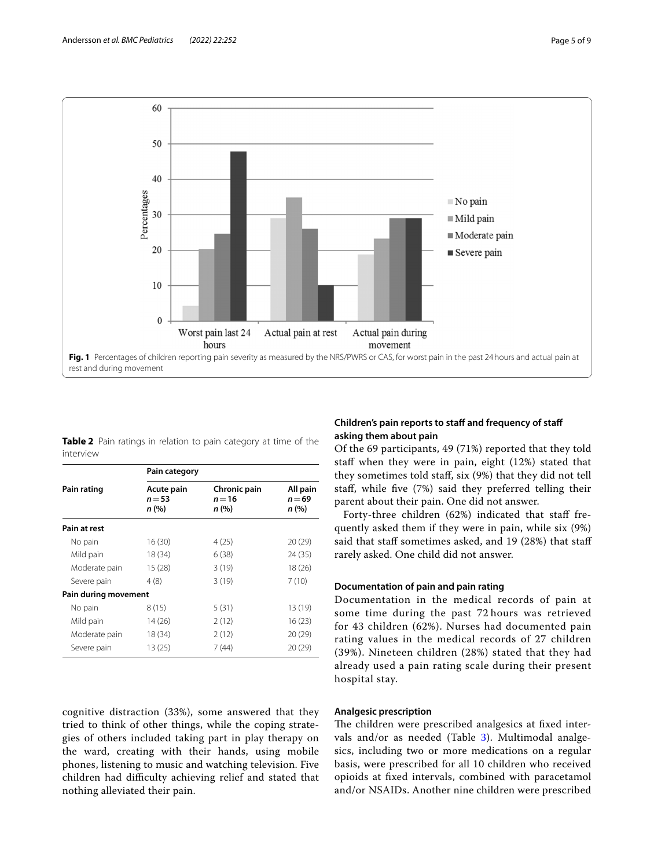

<span id="page-4-1"></span><span id="page-4-0"></span>

|           |  |  |  | <b>Table 2</b> Pain ratings in relation to pain category at time of the |  |  |
|-----------|--|--|--|-------------------------------------------------------------------------|--|--|
| interview |  |  |  |                                                                         |  |  |

|                      | Pain category                   |                                   |                               |  |  |  |  |
|----------------------|---------------------------------|-----------------------------------|-------------------------------|--|--|--|--|
| Pain rating          | Acute pain<br>$n = 53$<br>n (%) | Chronic pain<br>$n = 16$<br>n (%) | All pain<br>$n = 69$<br>n (%) |  |  |  |  |
| Pain at rest         |                                 |                                   |                               |  |  |  |  |
| No pain              | 16 (30)                         | 4(25)                             | 20 (29)                       |  |  |  |  |
| Mild pain            | 18 (34)                         | 6(38)                             | 24 (35)                       |  |  |  |  |
| Moderate pain        | 15(28)                          | 3(19)                             | 18(26)                        |  |  |  |  |
| Severe pain          | 4(8)                            | 3(19)                             | 7(10)                         |  |  |  |  |
| Pain during movement |                                 |                                   |                               |  |  |  |  |
| No pain              | 8 (15)                          | 5(31)                             | 13 (19)                       |  |  |  |  |
| Mild pain            | 14 (26)                         | 2(12)                             | 16 (23)                       |  |  |  |  |
| Moderate pain        | 18 (34)                         | 2(12)                             | 20 (29)                       |  |  |  |  |
| Severe pain          | 13 (25)                         | 7 (44)                            | 20 (29)                       |  |  |  |  |

cognitive distraction (33%), some answered that they tried to think of other things, while the coping strategies of others included taking part in play therapy on the ward, creating with their hands, using mobile phones, listening to music and watching television. Five children had difficulty achieving relief and stated that nothing alleviated their pain.

## **Children's pain reports to staff and frequency of staff asking them about pain**

Of the 69 participants, 49 (71%) reported that they told staff when they were in pain, eight  $(12%)$  stated that they sometimes told staf, six (9%) that they did not tell staf, while fve (7%) said they preferred telling their parent about their pain. One did not answer.

Forty-three children (62%) indicated that staff frequently asked them if they were in pain, while six (9%) said that staff sometimes asked, and 19 (28%) that staff rarely asked. One child did not answer.

## **Documentation of pain and pain rating**

Documentation in the medical records of pain at some time during the past 72 hours was retrieved for 43 children (62%). Nurses had documented pain rating values in the medical records of 27 children (39%). Nineteen children (28%) stated that they had already used a pain rating scale during their present hospital stay.

## **Analgesic prescription**

The children were prescribed analgesics at fixed inter-vals and/or as needed (Table [3](#page-5-0)). Multimodal analgesics, including two or more medications on a regular basis, were prescribed for all 10 children who received opioids at fxed intervals, combined with paracetamol and/or NSAIDs. Another nine children were prescribed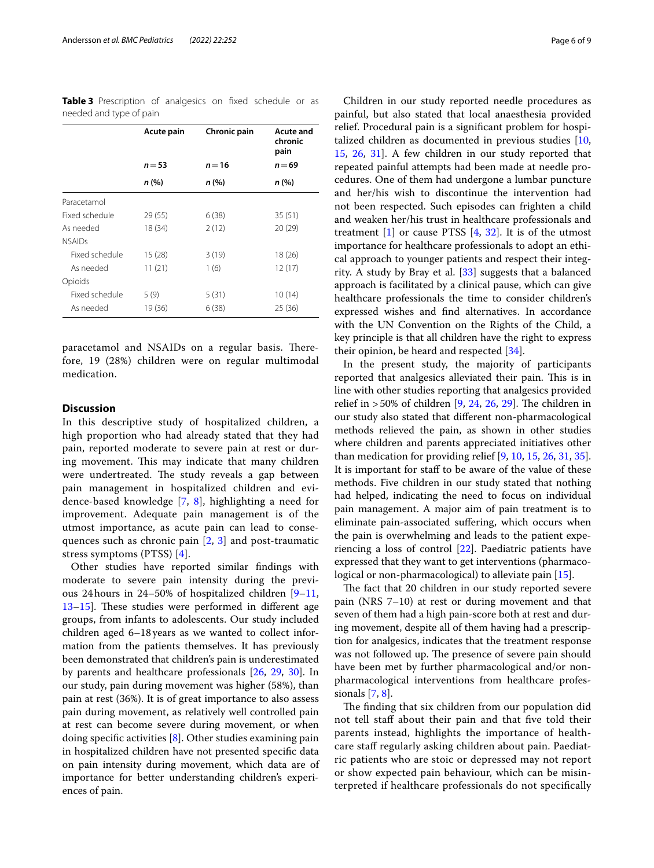<span id="page-5-0"></span>**Table 3** Prescription of analgesics on fixed schedule or as needed and type of pain

|                | Acute pain | Chronic pain | <b>Acute and</b><br>chronic<br>pain |  |  |
|----------------|------------|--------------|-------------------------------------|--|--|
|                | $n = 53$   | $n = 16$     | $n = 69$                            |  |  |
|                | n (%)      | n (%)        | n (%)                               |  |  |
| Paracetamol    |            |              |                                     |  |  |
| Fixed schedule | 29 (55)    | 6(38)        | 35(51)                              |  |  |
| As needed      | 18 (34)    | 2(12)        | 20(29)                              |  |  |
| <b>NSAIDs</b>  |            |              |                                     |  |  |
| Fixed schedule | 15(28)     | 3(19)        | 18 (26)                             |  |  |
| As needed      | 11(21)     | 1(6)         | 12(17)                              |  |  |
| Opioids        |            |              |                                     |  |  |
| Fixed schedule | 5 (9)      | 5(31)        | 10 (14)                             |  |  |
| As needed      | 19 (36)    | 6(38)        | 25 (36)                             |  |  |

paracetamol and NSAIDs on a regular basis. Therefore, 19 (28%) children were on regular multimodal medication.

## **Discussion**

In this descriptive study of hospitalized children, a high proportion who had already stated that they had pain, reported moderate to severe pain at rest or during movement. This may indicate that many children were undertreated. The study reveals a gap between pain management in hospitalized children and evidence-based knowledge [\[7](#page-7-6), [8](#page-7-7)], highlighting a need for improvement. Adequate pain management is of the utmost importance, as acute pain can lead to consequences such as chronic pain  $[2, 3]$  $[2, 3]$  $[2, 3]$  $[2, 3]$  $[2, 3]$  and post-traumatic stress symptoms (PTSS) [[4\]](#page-7-3).

Other studies have reported similar fndings with moderate to severe pain intensity during the previous 24hours in 24–50% of hospitalized children [[9–](#page-7-8)[11](#page-7-23), [13–](#page-7-24)[15](#page-7-9). These studies were performed in different age groups, from infants to adolescents. Our study included children aged 6–18years as we wanted to collect information from the patients themselves. It has previously been demonstrated that children's pain is underestimated by parents and healthcare professionals [[26](#page-7-21), [29](#page-8-1), [30](#page-8-2)]. In our study, pain during movement was higher (58%), than pain at rest (36%). It is of great importance to also assess pain during movement, as relatively well controlled pain at rest can become severe during movement, or when doing specifc activities [\[8](#page-7-7)]. Other studies examining pain in hospitalized children have not presented specifc data on pain intensity during movement, which data are of importance for better understanding children's experiences of pain.

Children in our study reported needle procedures as painful, but also stated that local anaesthesia provided relief. Procedural pain is a signifcant problem for hospitalized children as documented in previous studies [[10](#page-7-25), [15,](#page-7-9) [26,](#page-7-21) [31](#page-8-3)]. A few children in our study reported that repeated painful attempts had been made at needle procedures. One of them had undergone a lumbar puncture and her/his wish to discontinue the intervention had not been respected. Such episodes can frighten a child and weaken her/his trust in healthcare professionals and treatment  $[1]$  $[1]$  or cause PTSS  $[4, 32]$  $[4, 32]$  $[4, 32]$  $[4, 32]$ . It is of the utmost importance for healthcare professionals to adopt an ethical approach to younger patients and respect their integrity. A study by Bray et al. [\[33](#page-8-5)] suggests that a balanced approach is facilitated by a clinical pause, which can give healthcare professionals the time to consider children's expressed wishes and fnd alternatives. In accordance with the UN Convention on the Rights of the Child, a key principle is that all children have the right to express their opinion, be heard and respected [[34\]](#page-8-6).

In the present study, the majority of participants reported that analgesics alleviated their pain. This is in line with other studies reporting that analgesics provided relief in  $>50\%$  of children [[9,](#page-7-8) [24,](#page-7-18) [26,](#page-7-21) [29\]](#page-8-1). The children in our study also stated that diferent non-pharmacological methods relieved the pain, as shown in other studies where children and parents appreciated initiatives other than medication for providing relief [\[9](#page-7-8), [10](#page-7-25), [15,](#page-7-9) [26](#page-7-21), [31,](#page-8-3) [35](#page-8-7)]. It is important for staff to be aware of the value of these methods. Five children in our study stated that nothing had helped, indicating the need to focus on individual pain management. A major aim of pain treatment is to eliminate pain-associated sufering, which occurs when the pain is overwhelming and leads to the patient experiencing a loss of control [[22\]](#page-7-16). Paediatric patients have expressed that they want to get interventions (pharmacological or non-pharmacological) to alleviate pain [\[15\]](#page-7-9).

The fact that 20 children in our study reported severe pain (NRS 7–10) at rest or during movement and that seven of them had a high pain-score both at rest and during movement, despite all of them having had a prescription for analgesics, indicates that the treatment response was not followed up. The presence of severe pain should have been met by further pharmacological and/or nonpharmacological interventions from healthcare professionals [\[7](#page-7-6), [8](#page-7-7)].

The finding that six children from our population did not tell staf about their pain and that fve told their parents instead, highlights the importance of healthcare staff regularly asking children about pain. Paediatric patients who are stoic or depressed may not report or show expected pain behaviour, which can be misinterpreted if healthcare professionals do not specifcally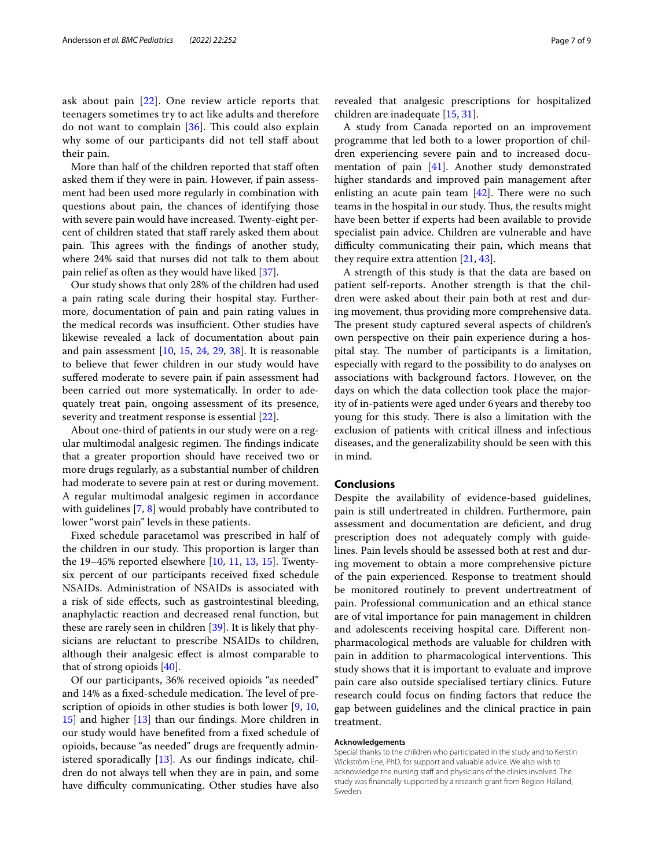ask about pain [[22\]](#page-7-16). One review article reports that teenagers sometimes try to act like adults and therefore do not want to complain  $[36]$  $[36]$ . This could also explain why some of our participants did not tell staff about their pain.

More than half of the children reported that staff often asked them if they were in pain. However, if pain assessment had been used more regularly in combination with questions about pain, the chances of identifying those with severe pain would have increased. Twenty-eight percent of children stated that staff rarely asked them about pain. This agrees with the findings of another study, where 24% said that nurses did not talk to them about pain relief as often as they would have liked [[37\]](#page-8-9).

Our study shows that only 28% of the children had used a pain rating scale during their hospital stay. Furthermore, documentation of pain and pain rating values in the medical records was insufficient. Other studies have likewise revealed a lack of documentation about pain and pain assessment [\[10,](#page-7-25) [15](#page-7-9), [24](#page-7-18), [29,](#page-8-1) [38\]](#page-8-10). It is reasonable to believe that fewer children in our study would have suffered moderate to severe pain if pain assessment had been carried out more systematically. In order to adequately treat pain, ongoing assessment of its presence, severity and treatment response is essential [[22\]](#page-7-16).

About one-third of patients in our study were on a regular multimodal analgesic regimen. The findings indicate that a greater proportion should have received two or more drugs regularly, as a substantial number of children had moderate to severe pain at rest or during movement. A regular multimodal analgesic regimen in accordance with guidelines [\[7](#page-7-6), [8\]](#page-7-7) would probably have contributed to lower "worst pain" levels in these patients.

Fixed schedule paracetamol was prescribed in half of the children in our study. This proportion is larger than the 19–45% reported elsewhere [\[10](#page-7-25), [11](#page-7-23), [13](#page-7-24), [15](#page-7-9)]. Twentysix percent of our participants received fxed schedule NSAIDs. Administration of NSAIDs is associated with a risk of side efects, such as gastrointestinal bleeding, anaphylactic reaction and decreased renal function, but these are rarely seen in children [\[39\]](#page-8-11). It is likely that physicians are reluctant to prescribe NSAIDs to children, although their analgesic efect is almost comparable to that of strong opioids [\[40](#page-8-12)].

Of our participants, 36% received opioids "as needed" and 14% as a fixed-schedule medication. The level of prescription of opioids in other studies is both lower [\[9](#page-7-8), [10](#page-7-25), [15\]](#page-7-9) and higher [[13\]](#page-7-24) than our fndings. More children in our study would have benefted from a fxed schedule of opioids, because "as needed" drugs are frequently administered sporadically [\[13](#page-7-24)]. As our fndings indicate, children do not always tell when they are in pain, and some have difficulty communicating. Other studies have also revealed that analgesic prescriptions for hospitalized children are inadequate [\[15](#page-7-9), [31\]](#page-8-3).

A study from Canada reported on an improvement programme that led both to a lower proportion of children experiencing severe pain and to increased docu-mentation of pain [\[41\]](#page-8-13). Another study demonstrated higher standards and improved pain management after enlisting an acute pain team  $[42]$  $[42]$ . There were no such teams in the hospital in our study. Thus, the results might have been better if experts had been available to provide specialist pain advice. Children are vulnerable and have difficulty communicating their pain, which means that they require extra attention [\[21,](#page-7-15) [43](#page-8-15)].

A strength of this study is that the data are based on patient self-reports. Another strength is that the children were asked about their pain both at rest and during movement, thus providing more comprehensive data. The present study captured several aspects of children's own perspective on their pain experience during a hospital stay. The number of participants is a limitation, especially with regard to the possibility to do analyses on associations with background factors. However, on the days on which the data collection took place the majority of in-patients were aged under 6years and thereby too young for this study. There is also a limitation with the exclusion of patients with critical illness and infectious diseases, and the generalizability should be seen with this in mind.

## **Conclusions**

Despite the availability of evidence-based guidelines, pain is still undertreated in children. Furthermore, pain assessment and documentation are defcient, and drug prescription does not adequately comply with guidelines. Pain levels should be assessed both at rest and during movement to obtain a more comprehensive picture of the pain experienced. Response to treatment should be monitored routinely to prevent undertreatment of pain. Professional communication and an ethical stance are of vital importance for pain management in children and adolescents receiving hospital care. Diferent nonpharmacological methods are valuable for children with pain in addition to pharmacological interventions. This study shows that it is important to evaluate and improve pain care also outside specialised tertiary clinics. Future research could focus on fnding factors that reduce the gap between guidelines and the clinical practice in pain treatment.

#### **Acknowledgements**

Special thanks to the children who participated in the study and to Kerstin Wickström Ene, PhD, for support and valuable advice. We also wish to acknowledge the nursing staff and physicians of the clinics involved. The study was fnancially supported by a research grant from Region Halland, Sweden.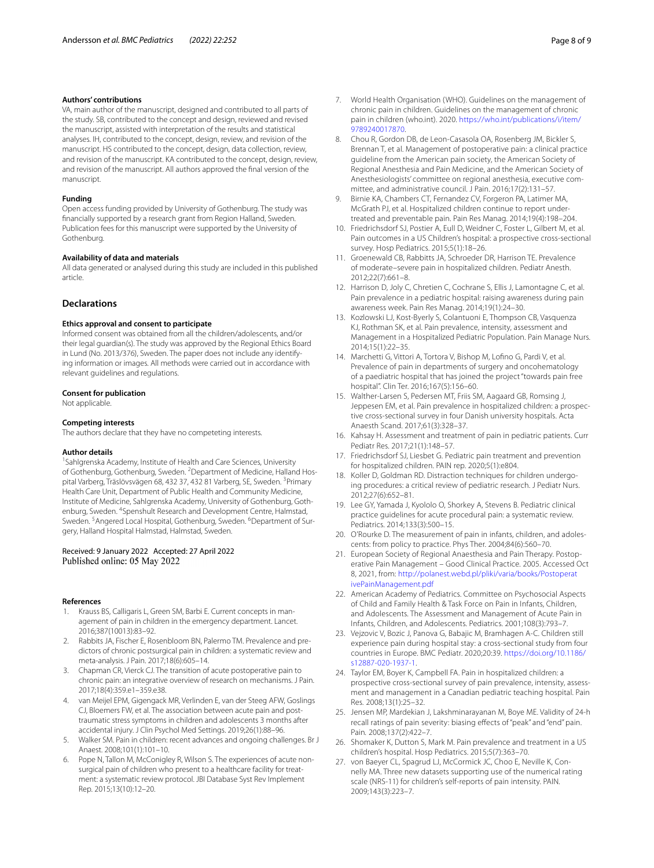## **Authors' contributions**

VA, main author of the manuscript, designed and contributed to all parts of the study. SB, contributed to the concept and design, reviewed and revised the manuscript, assisted with interpretation of the results and statistical analyses. IH, contributed to the concept, design, review, and revision of the manuscript. HS contributed to the concept, design, data collection, review, and revision of the manuscript. KA contributed to the concept, design, review, and revision of the manuscript. All authors approved the fnal version of the manuscript.

## **Funding**

Open access funding provided by University of Gothenburg. The study was fnancially supported by a research grant from Region Halland, Sweden. Publication fees for this manuscript were supported by the University of Gothenburg.

## **Availability of data and materials**

All data generated or analysed during this study are included in this published article.

## **Declarations**

## **Ethics approval and consent to participate**

Informed consent was obtained from all the children/adolescents, and/or their legal guardian(s). The study was approved by the Regional Ethics Board in Lund (No. 2013/376), Sweden. The paper does not include any identifying information or images. All methods were carried out in accordance with relevant guidelines and regulations.

## **Consent for publication**

Not applicable.

### **Competing interests**

The authors declare that they have no competeting interests.

#### **Author details**

<sup>1</sup> Sahlgrenska Academy, Institute of Health and Care Sciences, University of Gothenburg, Gothenburg, Sweden. <sup>2</sup> Department of Medicine, Halland Hospital Varberg, Träslövsvägen 68, 432 37, 432 81 Varberg, SE, Sweden. <sup>3</sup>Primary Health Care Unit, Department of Public Health and Community Medicine, Institute of Medicine, Sahlgrenska Academy, University of Gothenburg, Gothenburg, Sweden. <sup>4</sup>Spenshult Research and Development Centre, Halmstad, Sweden. <sup>5</sup> Angered Local Hospital, Gothenburg, Sweden. <sup>6</sup> Department of Surgery, Halland Hospital Halmstad, Halmstad, Sweden.

## Received: 9 January 2022 Accepted: 27 April 2022

#### **References**

- <span id="page-7-0"></span>Krauss BS, Calligaris L, Green SM, Barbi E. Current concepts in management of pain in children in the emergency department. Lancet. 2016;387(10013):83–92.
- <span id="page-7-1"></span>2. Rabbits JA, Fischer E, Rosenbloom BN, Palermo TM. Prevalence and predictors of chronic postsurgical pain in children: a systematic review and meta-analysis. J Pain. 2017;18(6):605–14.
- <span id="page-7-2"></span>3. Chapman CR, Vierck CJ. The transition of acute postoperative pain to chronic pain: an integrative overview of research on mechanisms. J Pain. 2017;18(4):359.e1–359.e38.
- <span id="page-7-3"></span>4. van Meijel EPM, Gigengack MR, Verlinden E, van der Steeg AFW, Goslings CJ, Bloemers FW, et al. The association between acute pain and posttraumatic stress symptoms in children and adolescents 3 months after accidental injury. J Clin Psychol Med Settings. 2019;26(1):88–96.
- <span id="page-7-4"></span>5. Walker SM. Pain in children: recent advances and ongoing challenges. Br J Anaest. 2008;101(1):101–10.
- <span id="page-7-5"></span>6. Pope N, Tallon M, McConigley R, Wilson S. The experiences of acute nonsurgical pain of children who present to a healthcare facility for treatment: a systematic review protocol. JBI Database Syst Rev Implement Rep. 2015;13(10):12–20.
- <span id="page-7-6"></span>7. World Health Organisation (WHO). Guidelines on the management of chronic pain in children. Guidelines on the management of chronic pain in children (who.int). 2020. [https://who.int/publications/i/item/](https://who.int/publications/i/item/9789240017870) [9789240017870.](https://who.int/publications/i/item/9789240017870)
- <span id="page-7-7"></span>8. Chou R, Gordon DB, de Leon-Casasola OA, Rosenberg JM, Bickler S, Brennan T, et al. Management of postoperative pain: a clinical practice guideline from the American pain society, the American Society of Regional Anesthesia and Pain Medicine, and the American Society of Anesthesiologists' committee on regional anesthesia, executive committee, and administrative council. J Pain. 2016;17(2):131–57.
- <span id="page-7-8"></span>9. Birnie KA, Chambers CT, Fernandez CV, Forgeron PA, Latimer MA, McGrath PJ, et al. Hospitalized children continue to report undertreated and preventable pain. Pain Res Manag. 2014;19(4):198–204.
- <span id="page-7-25"></span>10. Friedrichsdorf SJ, Postier A, Eull D, Weidner C, Foster L, Gilbert M, et al. Pain outcomes in a US Children's hospital: a prospective cross-sectional survey. Hosp Pediatrics. 2015;5(1):18–26.
- <span id="page-7-23"></span>11. Groenewald CB, Rabbitts JA, Schroeder DR, Harrison TE. Prevalence of moderate–severe pain in hospitalized children. Pediatr Anesth. 2012;22(7):661–8.
- <span id="page-7-20"></span>12. Harrison D, Joly C, Chretien C, Cochrane S, Ellis J, Lamontagne C, et al. Pain prevalence in a pediatric hospital: raising awareness during pain awareness week. Pain Res Manag. 2014;19(1):24–30.
- <span id="page-7-24"></span>13. Kozlowski LJ, Kost-Byerly S, Colantuoni E, Thompson CB, Vasquenza KJ, Rothman SK, et al. Pain prevalence, intensity, assessment and Management in a Hospitalized Pediatric Population. Pain Manage Nurs. 2014;15(1):22–35.
- 14. Marchetti G, Vittori A, Tortora V, Bishop M, Lofno G, Pardi V, et al. Prevalence of pain in departments of surgery and oncohematology of a paediatric hospital that has joined the project "towards pain free hospital". Clin Ter. 2016;167(5):156–60.
- <span id="page-7-9"></span>15. Walther-Larsen S, Pedersen MT, Friis SM, Aagaard GB, Romsing J, Jeppesen EM, et al. Pain prevalence in hospitalized children: a prospective cross-sectional survey in four Danish university hospitals. Acta Anaesth Scand. 2017;61(3):328–37.
- <span id="page-7-10"></span>16. Kahsay H. Assessment and treatment of pain in pediatric patients. Curr Pediatr Res. 2017;21(1):148–57.
- <span id="page-7-11"></span>17. Friedrichsdorf SJ, Liesbet G. Pediatric pain treatment and prevention for hospitalized children. PAIN rep. 2020;5(1):e804.
- <span id="page-7-12"></span>18. Koller D, Goldman RD. Distraction techniques for children undergoing procedures: a critical review of pediatric research. J Pediatr Nurs. 2012;27(6):652–81.
- <span id="page-7-13"></span>19. Lee GY, Yamada J, Kyololo O, Shorkey A, Stevens B. Pediatric clinical practice guidelines for acute procedural pain: a systematic review. Pediatrics. 2014;133(3):500–15.
- <span id="page-7-14"></span>20. O'Rourke D. The measurement of pain in infants, children, and adolescents: from policy to practice. Phys Ther. 2004;84(6):560–70.
- <span id="page-7-15"></span>21. European Society of Regional Anaesthesia and Pain Therapy. Postoperative Pain Management – Good Clinical Practice*.* 2005. Accessed Oct 8, 2021, from: [http://polanest.webd.pl/pliki/varia/books/Postoperat](http://polanest.webd.pl/pliki/varia/books/PostoperativePainManagement.pdf) [ivePainManagement.pdf](http://polanest.webd.pl/pliki/varia/books/PostoperativePainManagement.pdf)
- <span id="page-7-16"></span>22. American Academy of Pediatrics. Committee on Psychosocial Aspects of Child and Family Health & Task Force on Pain in Infants, Children, and Adolescents. The Assessment and Management of Acute Pain in Infants, Children, and Adolescents. Pediatrics. 2001;108(3):793–7.
- <span id="page-7-17"></span>23. Vejzovic V, Bozic J, Panova G, Babajic M, Bramhagen A-C. Children still experience pain during hospital stay: a cross-sectional study from four countries in Europe. BMC Pediatr. 2020;20:39. [https://doi.org/10.1186/](https://doi.org/10.1186/s12887-020-1937-1) [s12887-020-1937-1.](https://doi.org/10.1186/s12887-020-1937-1)
- <span id="page-7-18"></span>24. Taylor EM, Boyer K, Campbell FA. Pain in hospitalized children: a prospective cross-sectional survey of pain prevalence, intensity, assessment and management in a Canadian pediatric teaching hospital. Pain Res*.* 2008;13(1):25–32.
- <span id="page-7-19"></span>25. Jensen MP, Mardekian J, Lakshminarayanan M, Boye ME. Validity of 24-h recall ratings of pain severity: biasing efects of "peak" and "end" pain. Pain*.* 2008;137(2):422–7.
- <span id="page-7-21"></span>26. Shomaker K, Dutton S, Mark M. Pain prevalence and treatment in a US children's hospital. Hosp Pediatrics. 2015;5(7):363–70.
- <span id="page-7-22"></span>27. von Baeyer CL, Spagrud LJ, McCormick JC, Choo E, Neville K, Connelly MA. Three new datasets supporting use of the numerical rating scale (NRS-11) for children's self-reports of pain intensity. PAIN*.* 2009;143(3):223–7.